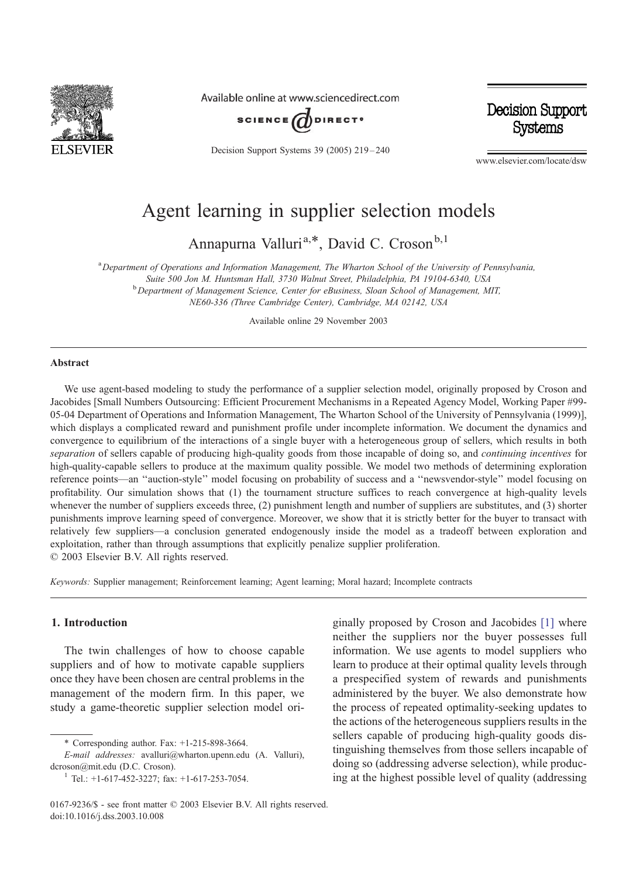

Available online at www.sciencedirect.com



Decision Support Systems 39 (2005) 219 – 240

**Decision Support Systems** 

www.elsevier.com/locate/dsw

# Agent learning in supplier selection models

Annapurna Valluri<sup>a,\*</sup>, David C. Croson<sup>b,1</sup>

<sup>a</sup> Department of Operations and Information Management, The Wharton School of the University of Pennsylvania, Suite 500 Jon M. Huntsman Hall, 3730 Walnut Street, Philadelphia, PA 19104-6340, USA bDepartment of Management Science, Center for eBusiness, Sloan School of Management, MIT,

NE60-336 (Three Cambridge Center), Cambridge, MA 02142, USA

Available online 29 November 2003

#### Abstract

We use agent-based modeling to study the performance of a supplier selection model, originally proposed by Croson and Jacobides [Small Numbers Outsourcing: Efficient Procurement Mechanisms in a Repeated Agency Model, Working Paper #99- 05-04 Department of Operations and Information Management, The Wharton School of the University of Pennsylvania (1999)], which displays a complicated reward and punishment profile under incomplete information. We document the dynamics and convergence to equilibrium of the interactions of a single buyer with a heterogeneous group of sellers, which results in both separation of sellers capable of producing high-quality goods from those incapable of doing so, and *continuing incentives* for high-quality-capable sellers to produce at the maximum quality possible. We model two methods of determining exploration reference points—an ''auction-style'' model focusing on probability of success and a ''newsvendor-style'' model focusing on profitability. Our simulation shows that (1) the tournament structure suffices to reach convergence at high-quality levels whenever the number of suppliers exceeds three, (2) punishment length and number of suppliers are substitutes, and (3) shorter punishments improve learning speed of convergence. Moreover, we show that it is strictly better for the buyer to transact with relatively few suppliers—a conclusion generated endogenously inside the model as a tradeoff between exploration and exploitation, rather than through assumptions that explicitly penalize supplier proliferation.  $© 2003 Elsevier B.V. All rights reserved.$ 

Keywords: Supplier management; Reinforcement learning; Agent learning; Moral hazard; Incomplete contracts

## 1. Introduction

The twin challenges of how to choose capable suppliers and of how to motivate capable suppliers once they have been chosen are central problems in the management of the modern firm. In this paper, we study a game-theoretic supplier selection model ori-

\* Corresponding author. Fax: +1-215-898-3664.

ginally proposed by Croson and Jacobides [\[1\]](#page--1-0) where neither the suppliers nor the buyer possesses full information. We use agents to model suppliers who learn to produce at their optimal quality levels through a prespecified system of rewards and punishments administered by the buyer. We also demonstrate how the process of repeated optimality-seeking updates to the actions of the heterogeneous suppliers results in the sellers capable of producing high-quality goods distinguishing themselves from those sellers incapable of doing so (addressing adverse selection), while producing at the highest possible level of quality (addressing

E-mail addresses: avalluri@wharton.upenn.edu (A. Valluri), dcroson@mit.edu (D.C. Croson).<br><sup>1</sup> Tel.: +1-617-452-3227; fax: +1-617-253-7054.

<sup>0167-9236/\$ -</sup> see front matter © 2003 Elsevier B.V. All rights reserved. doi:10.1016/j.dss.2003.10.008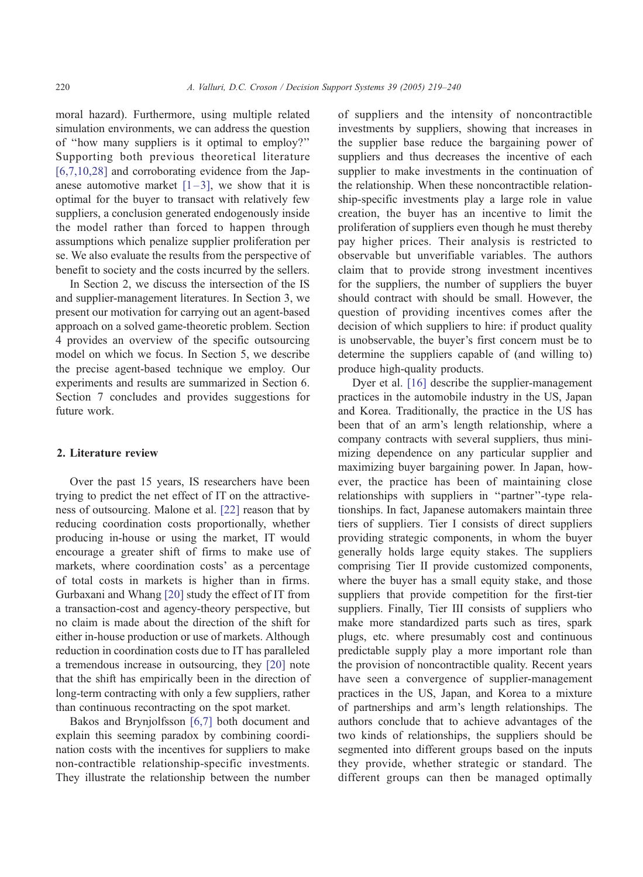moral hazard). Furthermore, using multiple related simulation environments, we can address the question of ''how many suppliers is it optimal to employ?'' Supporting both previous theoretical literature [\[6,7,10,28\]](#page--1-0) and corroborating evidence from the Japanese automotive market  $[1-3]$ , we show that it is optimal for the buyer to transact with relatively few suppliers, a conclusion generated endogenously inside the model rather than forced to happen through assumptions which penalize supplier proliferation per se. We also evaluate the results from the perspective of benefit to society and the costs incurred by the sellers.

In Section 2, we discuss the intersection of the IS and supplier-management literatures. In Section 3, we present our motivation for carrying out an agent-based approach on a solved game-theoretic problem. Section 4 provides an overview of the specific outsourcing model on which we focus. In Section 5, we describe the precise agent-based technique we employ. Our experiments and results are summarized in Section 6. Section 7 concludes and provides suggestions for future work.

### 2. Literature review

Over the past 15 years, IS researchers have been trying to predict the net effect of IT on the attractiveness of outsourcing. Malone et al. [\[22\]](#page--1-0) reason that by reducing coordination costs proportionally, whether producing in-house or using the market, IT would encourage a greater shift of firms to make use of markets, where coordination costs' as a percentage of total costs in markets is higher than in firms. Gurbaxani and Whang [\[20\]](#page--1-0) study the effect of IT from a transaction-cost and agency-theory perspective, but no claim is made about the direction of the shift for either in-house production or use of markets. Although reduction in coordination costs due to IT has paralleled a tremendous increase in outsourcing, they [\[20\]](#page--1-0) note that the shift has empirically been in the direction of long-term contracting with only a few suppliers, rather than continuous recontracting on the spot market.

Bakos and Brynjolfsson [\[6,7\]](#page--1-0) both document and explain this seeming paradox by combining coordination costs with the incentives for suppliers to make non-contractible relationship-specific investments. They illustrate the relationship between the number

of suppliers and the intensity of noncontractible investments by suppliers, showing that increases in the supplier base reduce the bargaining power of suppliers and thus decreases the incentive of each supplier to make investments in the continuation of the relationship. When these noncontractible relationship-specific investments play a large role in value creation, the buyer has an incentive to limit the proliferation of suppliers even though he must thereby pay higher prices. Their analysis is restricted to observable but unverifiable variables. The authors claim that to provide strong investment incentives for the suppliers, the number of suppliers the buyer should contract with should be small. However, the question of providing incentives comes after the decision of which suppliers to hire: if product quality is unobservable, the buyer's first concern must be to determine the suppliers capable of (and willing to) produce high-quality products.

Dyer et al. [\[16\]](#page--1-0) describe the supplier-management practices in the automobile industry in the US, Japan and Korea. Traditionally, the practice in the US has been that of an arm's length relationship, where a company contracts with several suppliers, thus minimizing dependence on any particular supplier and maximizing buyer bargaining power. In Japan, however, the practice has been of maintaining close relationships with suppliers in ''partner''-type relationships. In fact, Japanese automakers maintain three tiers of suppliers. Tier I consists of direct suppliers providing strategic components, in whom the buyer generally holds large equity stakes. The suppliers comprising Tier II provide customized components, where the buyer has a small equity stake, and those suppliers that provide competition for the first-tier suppliers. Finally, Tier III consists of suppliers who make more standardized parts such as tires, spark plugs, etc. where presumably cost and continuous predictable supply play a more important role than the provision of noncontractible quality. Recent years have seen a convergence of supplier-management practices in the US, Japan, and Korea to a mixture of partnerships and arm's length relationships. The authors conclude that to achieve advantages of the two kinds of relationships, the suppliers should be segmented into different groups based on the inputs they provide, whether strategic or standard. The different groups can then be managed optimally